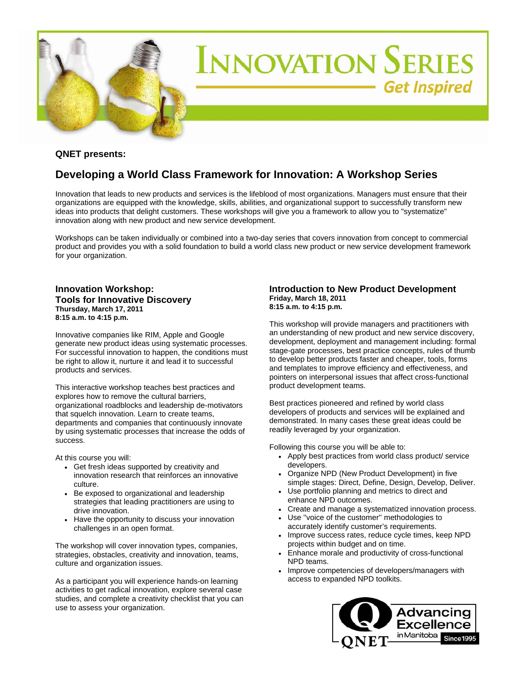

## **QNET presents:**

# **Developing a World Class Framework for Innovation: A Workshop Series**

Innovation that leads to new products and services is the lifeblood of most organizations. Managers must ensure that their organizations are equipped with the knowledge, skills, abilities, and organizational support to successfully transform new ideas into products that delight customers. These workshops will give you a framework to allow you to "systematize" innovation along with new product and new service development.

Workshops can be taken individually or combined into a two-day series that covers innovation from concept to commercial product and provides you with a solid foundation to build a world class new product or new service development framework for your organization.

### **Innovation Workshop: Tools for Innovative Discovery Thursday, March 17, 2011 8:15 a.m. to 4:15 p.m.**

Innovative companies like RIM, Apple and Google generate new product ideas using systematic processes. For successful innovation to happen, the conditions must be right to allow it, nurture it and lead it to successful products and services.

This interactive workshop teaches best practices and explores how to remove the cultural barriers, organizational roadblocks and leadership de-motivators that squelch innovation. Learn to create teams, departments and companies that continuously innovate by using systematic processes that increase the odds of success.

At this course you will:

- Get fresh ideas supported by creativity and innovation research that reinforces an innovative culture.
- Be exposed to organizational and leadership strategies that leading practitioners are using to drive innovation.
- Have the opportunity to discuss your innovation challenges in an open format.

The workshop will cover innovation types, companies, strategies, obstacles, creativity and innovation, teams, culture and organization issues.

As a participant you will experience hands-on learning activities to get radical innovation, explore several case studies, and complete a creativity checklist that you can use to assess your organization.

#### **Introduction to New Product Development Friday, March 18, 2011 8:15 a.m. to 4:15 p.m.**

This workshop will provide managers and practitioners with an understanding of new product and new service discovery, development, deployment and management including: formal stage-gate processes, best practice concepts, rules of thumb to develop better products faster and cheaper, tools, forms and templates to improve efficiency and effectiveness, and pointers on interpersonal issues that affect cross-functional product development teams.

Best practices pioneered and refined by world class developers of products and services will be explained and demonstrated. In many cases these great ideas could be readily leveraged by your organization.

Following this course you will be able to:

- Apply best practices from world class product/ service developers.
- Organize NPD (New Product Development) in five simple stages: Direct, Define, Design, Develop, Deliver.
- Use portfolio planning and metrics to direct and enhance NPD outcomes.
- Create and manage a systematized innovation process.
- Use ''voice of the customer'' methodologies to accurately identify customer's requirements.
- Improve success rates, reduce cycle times, keep NPD projects within budget and on time.
- Enhance morale and productivity of cross-functional NPD teams.
- Improve competencies of developers/managers with access to expanded NPD toolkits.